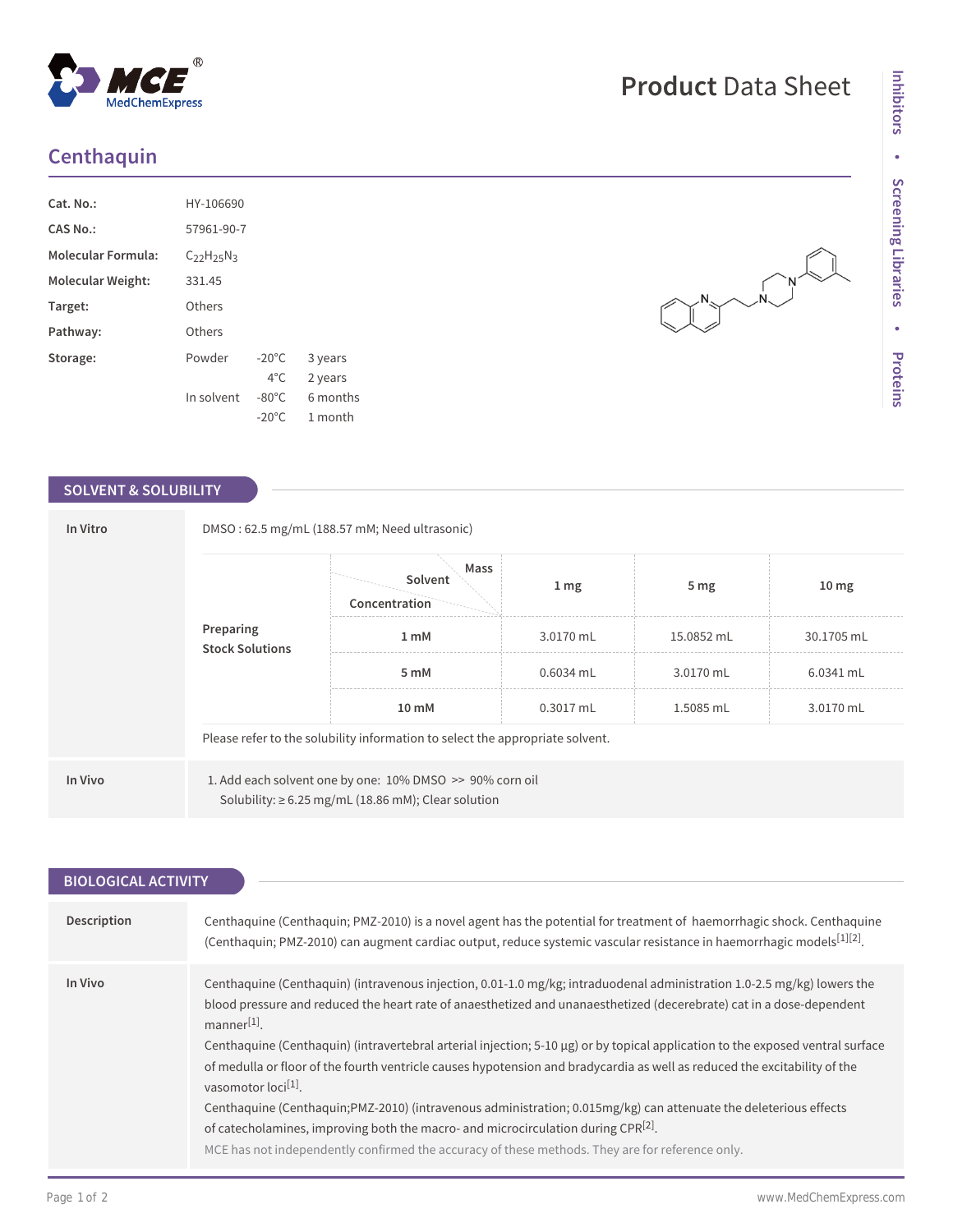## **Centhaquin**

| HY-106690         |                 |          |
|-------------------|-----------------|----------|
| 57961-90-7        |                 |          |
| $C_{22}H_{25}N_3$ |                 |          |
| 331.45            |                 |          |
| Others            |                 |          |
| Others            |                 |          |
| Powder            | $-20^{\circ}$ C | 3 years  |
|                   | $4^{\circ}$ C.  | 2 years  |
| In solvent        | $-80^{\circ}$ C | 6 months |
|                   | $-20^{\circ}$ C | 1 month  |
|                   |                 |          |

 $^{\circledR}$ 

MedChemExpress

## **SOLVENT & SOLUBILITY**

| In Vitro | DMSO: 62.5 mg/mL (188.57 mM; Need ultrasonic) |                                                                                                                      |                  |                 |                  |
|----------|-----------------------------------------------|----------------------------------------------------------------------------------------------------------------------|------------------|-----------------|------------------|
|          |                                               | Mass<br>Solvent<br>Concentration                                                                                     | $1 \, \text{mg}$ | 5 <sub>mg</sub> | 10 <sub>mg</sub> |
|          | Preparing<br><b>Stock Solutions</b>           | 3.0170 mL<br>15.0852 mL<br>1 mM                                                                                      | 30.1705 mL       |                 |                  |
|          |                                               | 5 mM                                                                                                                 | $0.6034$ mL      | 3.0170 mL       | 6.0341 mL        |
|          |                                               | 10 mM                                                                                                                | 0.3017 mL        | 1.5085 mL       | 3.0170 mL        |
|          |                                               | Please refer to the solubility information to select the appropriate solvent.                                        |                  |                 |                  |
| In Vivo  |                                               | 1. Add each solvent one by one: 10% DMSO >> 90% corn oil<br>Solubility: $\geq 6.25$ mg/mL (18.86 mM); Clear solution |                  |                 |                  |

| <b>BIOLOGICAL ACTIVITY</b> |                                                                                                                                                                                                                                                                                                                                                                                                                                                                                                                                                                                                                                                                                                                                                                                                                                                                                            |
|----------------------------|--------------------------------------------------------------------------------------------------------------------------------------------------------------------------------------------------------------------------------------------------------------------------------------------------------------------------------------------------------------------------------------------------------------------------------------------------------------------------------------------------------------------------------------------------------------------------------------------------------------------------------------------------------------------------------------------------------------------------------------------------------------------------------------------------------------------------------------------------------------------------------------------|
|                            |                                                                                                                                                                                                                                                                                                                                                                                                                                                                                                                                                                                                                                                                                                                                                                                                                                                                                            |
| Description                | Centhaguine (Centhaguin; PMZ-2010) is a novel agent has the potential for treatment of haemorrhagic shock. Centhaguine<br>(Centhaguin; PMZ-2010) can augment cardiac output, reduce systemic vascular resistance in haemorrhagic models[1][2].                                                                                                                                                                                                                                                                                                                                                                                                                                                                                                                                                                                                                                             |
| In Vivo                    | Centhaquine (Centhaquin) (intravenous injection, 0.01-1.0 mg/kg; intraduodenal administration 1.0-2.5 mg/kg) lowers the<br>blood pressure and reduced the heart rate of anaesthetized and unanaesthetized (decerebrate) cat in a dose-dependent<br>$manner[1]$ .<br>Centhaguine (Centhaguin) (intravertebral arterial injection; $5-10 \mu g$ ) or by topical application to the exposed ventral surface<br>of medulla or floor of the fourth ventricle causes hypotension and bradycardia as well as reduced the excitability of the<br>vasomotor loci <sup>[1]</sup> .<br>Centhaguine (Centhaguin; PMZ-2010) (intravenous administration; 0.015mg/kg) can attenuate the deleterious effects<br>of catecholamines, improving both the macro- and microcirculation during $CPR^{[2]}$ .<br>MCE has not independently confirmed the accuracy of these methods. They are for reference only. |

## **Product** Data Sheet

 $\begin{picture}(180,10) \put(0,0){\line(1,0){10}} \put(15,0){\line(1,0){10}} \put(15,0){\line(1,0){10}} \put(15,0){\line(1,0){10}} \put(15,0){\line(1,0){10}} \put(15,0){\line(1,0){10}} \put(15,0){\line(1,0){10}} \put(15,0){\line(1,0){10}} \put(15,0){\line(1,0){10}} \put(15,0){\line(1,0){10}} \put(15,0){\line(1,0){10}} \put(15,0){\line($